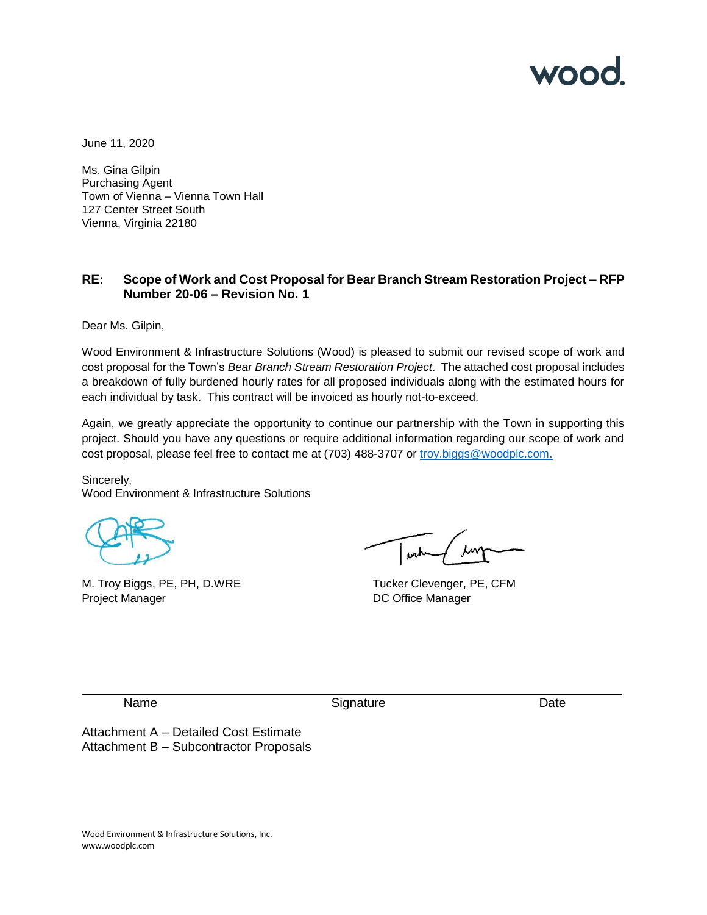

June 11, 2020

Ms. Gina Gilpin Purchasing Agent Town of Vienna – Vienna Town Hall 127 Center Street South Vienna, Virginia 22180

## **RE: Scope of Work and Cost Proposal for Bear Branch Stream Restoration Project – RFP Number 20-06 – Revision No. 1**

Dear Ms. Gilpin,

Wood Environment & Infrastructure Solutions (Wood) is pleased to submit our revised scope of work and cost proposal for the Town's *Bear Branch Stream Restoration Project*. The attached cost proposal includes a breakdown of fully burdened hourly rates for all proposed individuals along with the estimated hours for each individual by task. This contract will be invoiced as hourly not-to-exceed.

Again, we greatly appreciate the opportunity to continue our partnership with the Town in supporting this project. Should you have any questions or require additional information regarding our scope of work and cost proposal, please feel free to contact me at (703) 488-3707 or troy.biggs@woodplc.com.

Sincerely, Wood Environment & Infrastructure Solutions

M. Troy Biggs, PE, PH, D.WRE Tucker Clevenger, PE, CFM Project Manager **DC** Office Manager

Name Date **Signature** Date Date

Attachment A – Detailed Cost Estimate Attachment B – Subcontractor Proposals

Wood Environment & Infrastructure Solutions, Inc. www.woodplc.com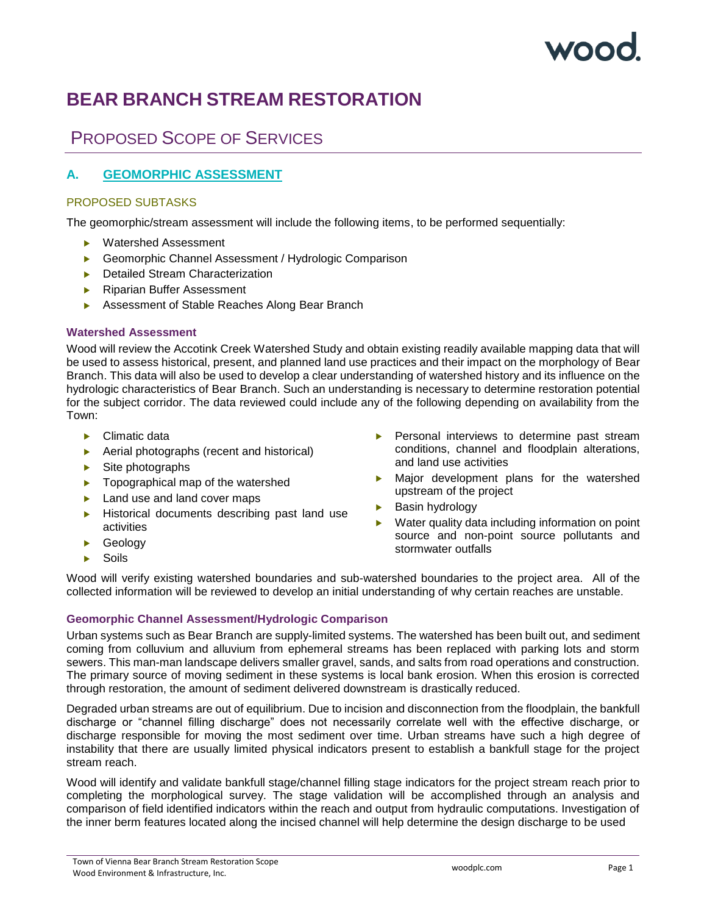# $\sqrt{2}$

## **BEAR BRANCH STREAM RESTORATION**

## PROPOSED SCOPE OF SERVICES

## **A. GEOMORPHIC ASSESSMENT**

## PROPOSED SUBTASKS

The geomorphic/stream assessment will include the following items, to be performed sequentially:

- ▶ Watershed Assessment
- ▶ Geomorphic Channel Assessment / Hydrologic Comparison
- **Detailed Stream Characterization**
- ▶ Riparian Buffer Assessment
- Assessment of Stable Reaches Along Bear Branch

## **Watershed Assessment**

Wood will review the Accotink Creek Watershed Study and obtain existing readily available mapping data that will be used to assess historical, present, and planned land use practices and their impact on the morphology of Bear Branch. This data will also be used to develop a clear understanding of watershed history and its influence on the hydrologic characteristics of Bear Branch. Such an understanding is necessary to determine restoration potential for the subject corridor. The data reviewed could include any of the following depending on availability from the Town:

- ▶ Climatic data
- ▶ Aerial photographs (recent and historical)
- $\blacktriangleright$  Site photographs
- **Topographical map of the watershed**
- ▶ Land use and land cover maps
- **Historical documents describing past land use** activities
- Geology
- Soils
- Personal interviews to determine past stream conditions, channel and floodplain alterations, and land use activities
- Major development plans for the watershed upstream of the project
- **Basin hydrology**
- Water quality data including information on point source and non-point source pollutants and stormwater outfalls

Wood will verify existing watershed boundaries and sub-watershed boundaries to the project area. All of the collected information will be reviewed to develop an initial understanding of why certain reaches are unstable.

## **Geomorphic Channel Assessment/Hydrologic Comparison**

Urban systems such as Bear Branch are supply-limited systems. The watershed has been built out, and sediment coming from colluvium and alluvium from ephemeral streams has been replaced with parking lots and storm sewers. This man-man landscape delivers smaller gravel, sands, and salts from road operations and construction. The primary source of moving sediment in these systems is local bank erosion. When this erosion is corrected through restoration, the amount of sediment delivered downstream is drastically reduced.

Degraded urban streams are out of equilibrium. Due to incision and disconnection from the floodplain, the bankfull discharge or "channel filling discharge" does not necessarily correlate well with the effective discharge, or discharge responsible for moving the most sediment over time. Urban streams have such a high degree of instability that there are usually limited physical indicators present to establish a bankfull stage for the project stream reach.

Wood will identify and validate bankfull stage/channel filling stage indicators for the project stream reach prior to completing the morphological survey. The stage validation will be accomplished through an analysis and comparison of field identified indicators within the reach and output from hydraulic computations. Investigation of the inner berm features located along the incised channel will help determine the design discharge to be used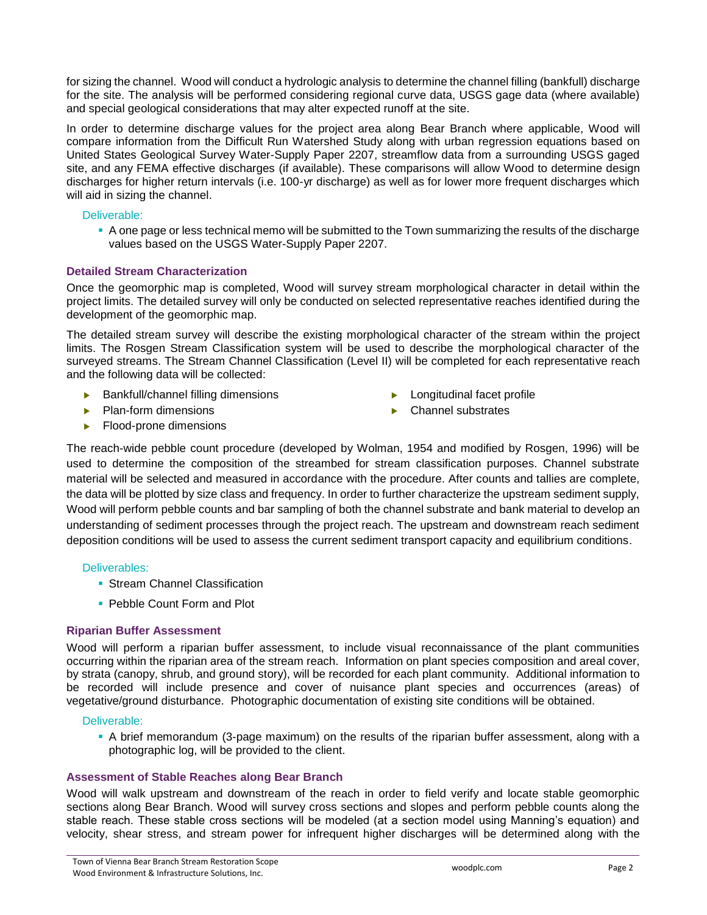for sizing the channel. Wood will conduct a hydrologic analysis to determine the channel filling (bankfull) discharge for the site. The analysis will be performed considering regional curve data, USGS gage data (where available) and special geological considerations that may alter expected runoff at the site.

In order to determine discharge values for the project area along Bear Branch where applicable, Wood will compare information from the Difficult Run Watershed Study along with urban regression equations based on United States Geological Survey Water-Supply Paper 2207, streamflow data from a surrounding USGS gaged site, and any FEMA effective discharges (if available). These comparisons will allow Wood to determine design discharges for higher return intervals (i.e. 100-yr discharge) as well as for lower more frequent discharges which will aid in sizing the channel.

## Deliverable:

▪ A one page or less technical memo will be submitted to the Town summarizing the results of the discharge values based on the USGS Water-Supply Paper 2207.

## **Detailed Stream Characterization**

Once the geomorphic map is completed, Wood will survey stream morphological character in detail within the project limits. The detailed survey will only be conducted on selected representative reaches identified during the development of the geomorphic map.

The detailed stream survey will describe the existing morphological character of the stream within the project limits. The Rosgen Stream Classification system will be used to describe the morphological character of the surveyed streams. The Stream Channel Classification (Level II) will be completed for each representative reach and the following data will be collected:

- $\blacktriangleright$  Bankfull/channel filling dimensions
- Plan-form dimensions
- Longitudinal facet profile
- ▶ Channel substrates

Flood-prone dimensions

The reach-wide pebble count procedure (developed by Wolman, 1954 and modified by Rosgen, 1996) will be used to determine the composition of the streambed for stream classification purposes. Channel substrate material will be selected and measured in accordance with the procedure. After counts and tallies are complete, the data will be plotted by size class and frequency. In order to further characterize the upstream sediment supply, Wood will perform pebble counts and bar sampling of both the channel substrate and bank material to develop an understanding of sediment processes through the project reach. The upstream and downstream reach sediment deposition conditions will be used to assess the current sediment transport capacity and equilibrium conditions.

## Deliverables:

- **Stream Channel Classification**
- Pebble Count Form and Plot

## **Riparian Buffer Assessment**

Wood will perform a riparian buffer assessment, to include visual reconnaissance of the plant communities occurring within the riparian area of the stream reach. Information on plant species composition and areal cover, by strata (canopy, shrub, and ground story), will be recorded for each plant community. Additional information to be recorded will include presence and cover of nuisance plant species and occurrences (areas) of vegetative/ground disturbance. Photographic documentation of existing site conditions will be obtained.

## Deliverable:

▪ A brief memorandum (3-page maximum) on the results of the riparian buffer assessment, along with a photographic log, will be provided to the client.

## **Assessment of Stable Reaches along Bear Branch**

Wood will walk upstream and downstream of the reach in order to field verify and locate stable geomorphic sections along Bear Branch. Wood will survey cross sections and slopes and perform pebble counts along the stable reach. These stable cross sections will be modeled (at a section model using Manning's equation) and velocity, shear stress, and stream power for infrequent higher discharges will be determined along with the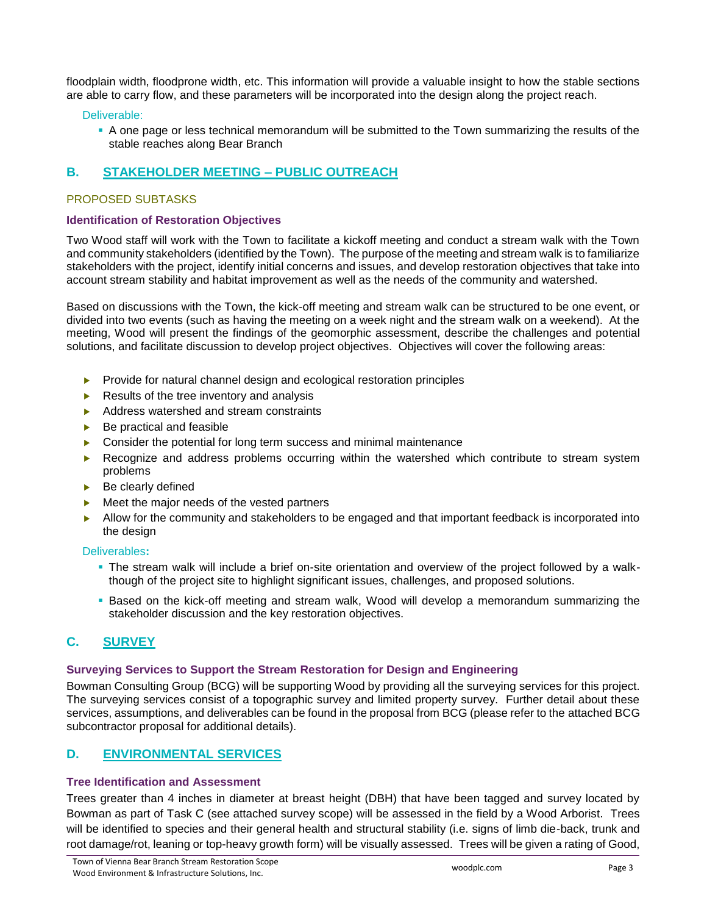floodplain width, floodprone width, etc. This information will provide a valuable insight to how the stable sections are able to carry flow, and these parameters will be incorporated into the design along the project reach.

## Deliverable:

▪ A one page or less technical memorandum will be submitted to the Town summarizing the results of the stable reaches along Bear Branch

## **B. STAKEHOLDER MEETING – PUBLIC OUTREACH**

## PROPOSED SUBTASKS

## **Identification of Restoration Objectives**

Two Wood staff will work with the Town to facilitate a kickoff meeting and conduct a stream walk with the Town and community stakeholders (identified by the Town). The purpose of the meeting and stream walk is to familiarize stakeholders with the project, identify initial concerns and issues, and develop restoration objectives that take into account stream stability and habitat improvement as well as the needs of the community and watershed.

Based on discussions with the Town, the kick-off meeting and stream walk can be structured to be one event, or divided into two events (such as having the meeting on a week night and the stream walk on a weekend). At the meeting, Wood will present the findings of the geomorphic assessment, describe the challenges and potential solutions, and facilitate discussion to develop project objectives. Objectives will cover the following areas:

- $\blacktriangleright$  Provide for natural channel design and ecological restoration principles
- $\blacktriangleright$  Results of the tree inventory and analysis
- Address watershed and stream constraints
- Be practical and feasible
- Consider the potential for long term success and minimal maintenance
- **EXECOGNIZE AND ADDERS** problems occurring within the watershed which contribute to stream system problems
- $\blacktriangleright$  Be clearly defined
- Meet the major needs of the vested partners
- Allow for the community and stakeholders to be engaged and that important feedback is incorporated into the design

## Deliverables**:**

- **•** The stream walk will include a brief on-site orientation and overview of the project followed by a walkthough of the project site to highlight significant issues, challenges, and proposed solutions.
- **•** Based on the kick-off meeting and stream walk, Wood will develop a memorandum summarizing the stakeholder discussion and the key restoration objectives.

## **C. SURVEY**

## **Surveying Services to Support the Stream Restoration for Design and Engineering**

Bowman Consulting Group (BCG) will be supporting Wood by providing all the surveying services for this project. The surveying services consist of a topographic survey and limited property survey. Further detail about these services, assumptions, and deliverables can be found in the proposal from BCG (please refer to the attached BCG subcontractor proposal for additional details).

## **D. ENVIRONMENTAL SERVICES**

## **Tree Identification and Assessment**

Trees greater than 4 inches in diameter at breast height (DBH) that have been tagged and survey located by Bowman as part of Task C (see attached survey scope) will be assessed in the field by a Wood Arborist. Trees will be identified to species and their general health and structural stability (i.e. signs of limb die-back, trunk and root damage/rot, leaning or top-heavy growth form) will be visually assessed. Trees will be given a rating of Good,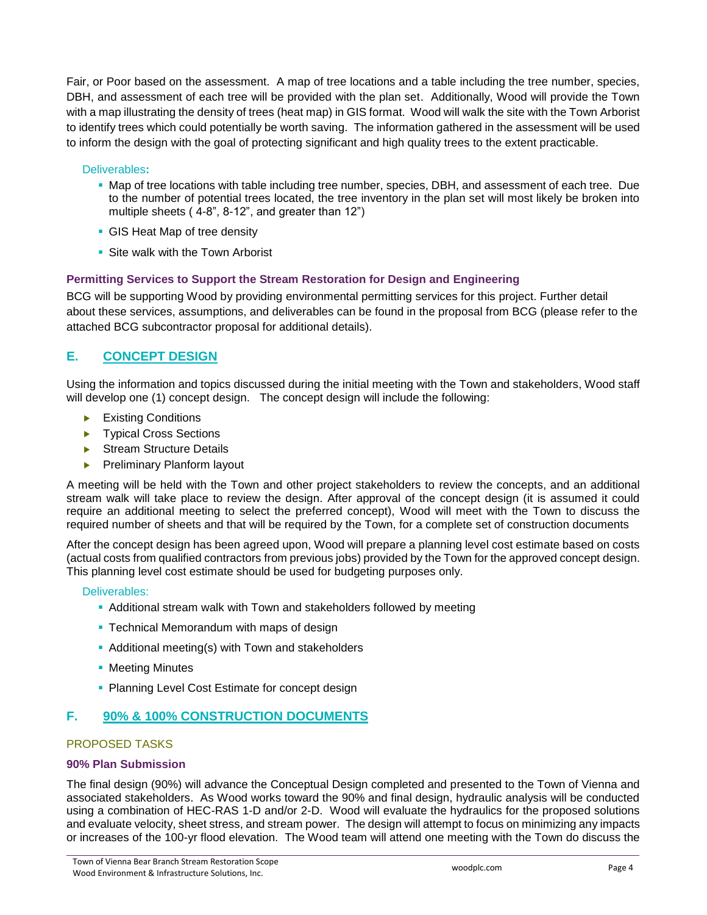Fair, or Poor based on the assessment. A map of tree locations and a table including the tree number, species, DBH, and assessment of each tree will be provided with the plan set. Additionally, Wood will provide the Town with a map illustrating the density of trees (heat map) in GIS format. Wood will walk the site with the Town Arborist to identify trees which could potentially be worth saving. The information gathered in the assessment will be used to inform the design with the goal of protecting significant and high quality trees to the extent practicable.

## Deliverables**:**

- Map of tree locations with table including tree number, species, DBH, and assessment of each tree. Due to the number of potential trees located, the tree inventory in the plan set will most likely be broken into multiple sheets ( 4-8", 8-12", and greater than 12")
- **GIS Heat Map of tree density**
- **Site walk with the Town Arborist**

## **Permitting Services to Support the Stream Restoration for Design and Engineering**

BCG will be supporting Wood by providing environmental permitting services for this project. Further detail about these services, assumptions, and deliverables can be found in the proposal from BCG (please refer to the attached BCG subcontractor proposal for additional details).

## **E. CONCEPT DESIGN**

Using the information and topics discussed during the initial meeting with the Town and stakeholders, Wood staff will develop one (1) concept design. The concept design will include the following:

- Existing Conditions
- ▶ Typical Cross Sections
- Stream Structure Details
- **Preliminary Planform layout**

A meeting will be held with the Town and other project stakeholders to review the concepts, and an additional stream walk will take place to review the design. After approval of the concept design (it is assumed it could require an additional meeting to select the preferred concept), Wood will meet with the Town to discuss the required number of sheets and that will be required by the Town, for a complete set of construction documents

After the concept design has been agreed upon, Wood will prepare a planning level cost estimate based on costs (actual costs from qualified contractors from previous jobs) provided by the Town for the approved concept design. This planning level cost estimate should be used for budgeting purposes only.

## Deliverables:

- **Additional stream walk with Town and stakeholders followed by meeting**
- **Technical Memorandum with maps of design**
- **Additional meeting(s) with Town and stakeholders**
- **Meeting Minutes**
- **Planning Level Cost Estimate for concept design**

## **F. 90% & 100% CONSTRUCTION DOCUMENTS**

## PROPOSED TASKS

## **90% Plan Submission**

The final design (90%) will advance the Conceptual Design completed and presented to the Town of Vienna and associated stakeholders. As Wood works toward the 90% and final design, hydraulic analysis will be conducted using a combination of HEC-RAS 1-D and/or 2-D. Wood will evaluate the hydraulics for the proposed solutions and evaluate velocity, sheet stress, and stream power. The design will attempt to focus on minimizing any impacts or increases of the 100-yr flood elevation. The Wood team will attend one meeting with the Town do discuss the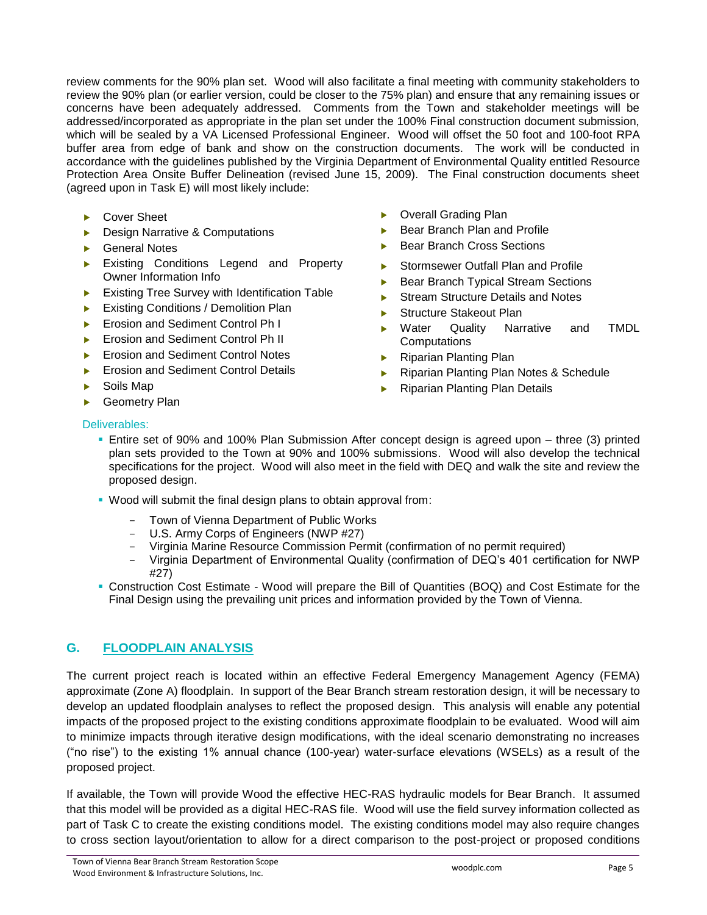review comments for the 90% plan set. Wood will also facilitate a final meeting with community stakeholders to review the 90% plan (or earlier version, could be closer to the 75% plan) and ensure that any remaining issues or concerns have been adequately addressed. Comments from the Town and stakeholder meetings will be addressed/incorporated as appropriate in the plan set under the 100% Final construction document submission, which will be sealed by a VA Licensed Professional Engineer. Wood will offset the 50 foot and 100-foot RPA buffer area from edge of bank and show on the construction documents. The work will be conducted in accordance with the guidelines published by the Virginia Department of Environmental Quality entitled Resource Protection Area Onsite Buffer Delineation (revised June 15, 2009). The Final construction documents sheet (agreed upon in Task E) will most likely include:

- ▶ Cover Sheet
- Design Narrative & Computations
- ▶ General Notes
- Existing Conditions Legend and Property Owner Information Info
- Existing Tree Survey with Identification Table
- Existing Conditions / Demolition Plan
- Erosion and Sediment Control Ph I
- Erosion and Sediment Control Ph II
- Erosion and Sediment Control Notes
- Erosion and Sediment Control Details
- Soils Map
- Overall Grading Plan Bear Branch Plan and Profile
- Bear Branch Cross Sections
- Stormsewer Outfall Plan and Profile
- Bear Branch Typical Stream Sections
- Stream Structure Details and Notes
- Structure Stakeout Plan
- **Water Quality Narrative and TMDL Computations**
- ▶ Riparian Planting Plan
- ▶ Riparian Planting Plan Notes & Schedule
- ▶ Riparian Planting Plan Details

▶ Geometry Plan

## Deliverables:

- **Entire set of 90% and 100% Plan Submission After concept design is agreed upon three (3) printed** plan sets provided to the Town at 90% and 100% submissions. Wood will also develop the technical specifications for the project. Wood will also meet in the field with DEQ and walk the site and review the proposed design.
- Wood will submit the final design plans to obtain approval from:
	- Town of Vienna Department of Public Works
	- U.S. Army Corps of Engineers (NWP #27)
	- Virginia Marine Resource Commission Permit (confirmation of no permit required)
	- Virginia Department of Environmental Quality (confirmation of DEQ's 401 certification for NWP #27)
- Construction Cost Estimate Wood will prepare the Bill of Quantities (BOQ) and Cost Estimate for the Final Design using the prevailing unit prices and information provided by the Town of Vienna.

## **G. FLOODPLAIN ANALYSIS**

The current project reach is located within an effective Federal Emergency Management Agency (FEMA) approximate (Zone A) floodplain. In support of the Bear Branch stream restoration design, it will be necessary to develop an updated floodplain analyses to reflect the proposed design. This analysis will enable any potential impacts of the proposed project to the existing conditions approximate floodplain to be evaluated. Wood will aim to minimize impacts through iterative design modifications, with the ideal scenario demonstrating no increases ("no rise") to the existing 1% annual chance (100-year) water-surface elevations (WSELs) as a result of the proposed project.

If available, the Town will provide Wood the effective HEC-RAS hydraulic models for Bear Branch. It assumed that this model will be provided as a digital HEC-RAS file. Wood will use the field survey information collected as part of Task C to create the existing conditions model. The existing conditions model may also require changes to cross section layout/orientation to allow for a direct comparison to the post-project or proposed conditions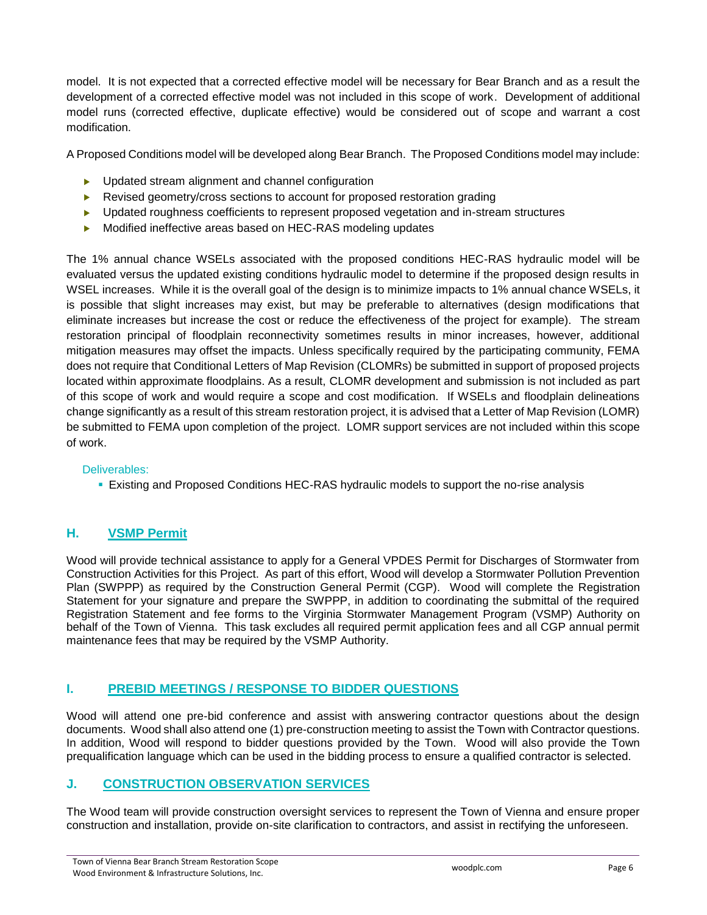model. It is not expected that a corrected effective model will be necessary for Bear Branch and as a result the development of a corrected effective model was not included in this scope of work. Development of additional model runs (corrected effective, duplicate effective) would be considered out of scope and warrant a cost modification.

A Proposed Conditions model will be developed along Bear Branch. The Proposed Conditions model may include:

- ▶ Updated stream alignment and channel configuration
- Revised geometry/cross sections to account for proposed restoration grading
- **Deam** Updated roughness coefficients to represent proposed vegetation and in-stream structures
- Modified ineffective areas based on HEC-RAS modeling updates

The 1% annual chance WSELs associated with the proposed conditions HEC-RAS hydraulic model will be evaluated versus the updated existing conditions hydraulic model to determine if the proposed design results in WSEL increases. While it is the overall goal of the design is to minimize impacts to 1% annual chance WSELs, it is possible that slight increases may exist, but may be preferable to alternatives (design modifications that eliminate increases but increase the cost or reduce the effectiveness of the project for example). The stream restoration principal of floodplain reconnectivity sometimes results in minor increases, however, additional mitigation measures may offset the impacts. Unless specifically required by the participating community, FEMA does not require that Conditional Letters of Map Revision (CLOMRs) be submitted in support of proposed projects located within approximate floodplains. As a result, CLOMR development and submission is not included as part of this scope of work and would require a scope and cost modification. If WSELs and floodplain delineations change significantly as a result of this stream restoration project, it is advised that a Letter of Map Revision (LOMR) be submitted to FEMA upon completion of the project. LOMR support services are not included within this scope of work.

## Deliverables:

**Existing and Proposed Conditions HEC-RAS hydraulic models to support the no-rise analysis** 

## **H. VSMP Permit**

Wood will provide technical assistance to apply for a General VPDES Permit for Discharges of Stormwater from Construction Activities for this Project. As part of this effort, Wood will develop a Stormwater Pollution Prevention Plan (SWPPP) as required by the Construction General Permit (CGP). Wood will complete the Registration Statement for your signature and prepare the SWPPP, in addition to coordinating the submittal of the required Registration Statement and fee forms to the Virginia Stormwater Management Program (VSMP) Authority on behalf of the Town of Vienna. This task excludes all required permit application fees and all CGP annual permit maintenance fees that may be required by the VSMP Authority.

## **I. PREBID MEETINGS / RESPONSE TO BIDDER QUESTIONS**

Wood will attend one pre-bid conference and assist with answering contractor questions about the design documents. Wood shall also attend one (1) pre-construction meeting to assist the Town with Contractor questions. In addition, Wood will respond to bidder questions provided by the Town. Wood will also provide the Town prequalification language which can be used in the bidding process to ensure a qualified contractor is selected.

## **J. CONSTRUCTION OBSERVATION SERVICES**

The Wood team will provide construction oversight services to represent the Town of Vienna and ensure proper construction and installation, provide on-site clarification to contractors, and assist in rectifying the unforeseen.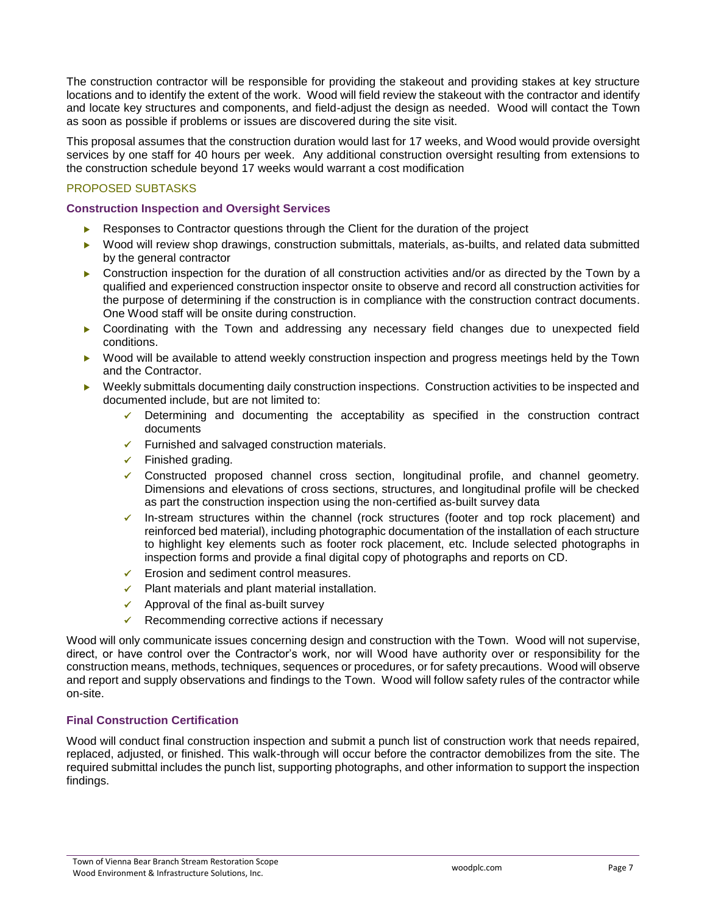The construction contractor will be responsible for providing the stakeout and providing stakes at key structure locations and to identify the extent of the work. Wood will field review the stakeout with the contractor and identify and locate key structures and components, and field-adjust the design as needed. Wood will contact the Town as soon as possible if problems or issues are discovered during the site visit.

This proposal assumes that the construction duration would last for 17 weeks, and Wood would provide oversight services by one staff for 40 hours per week. Any additional construction oversight resulting from extensions to the construction schedule beyond 17 weeks would warrant a cost modification

## PROPOSED SUBTASKS

## **Construction Inspection and Oversight Services**

- Responses to Contractor questions through the Client for the duration of the project
- ▶ Wood will review shop drawings, construction submittals, materials, as-builts, and related data submitted by the general contractor
- ▶ Construction inspection for the duration of all construction activities and/or as directed by the Town by a qualified and experienced construction inspector onsite to observe and record all construction activities for the purpose of determining if the construction is in compliance with the construction contract documents. One Wood staff will be onsite during construction.
- Coordinating with the Town and addressing any necessary field changes due to unexpected field conditions.
- ▶ Wood will be available to attend weekly construction inspection and progress meetings held by the Town and the Contractor.
- Weekly submittals documenting daily construction inspections. Construction activities to be inspected and documented include, but are not limited to:
	- ✓ Determining and documenting the acceptability as specified in the construction contract documents
	- ✓ Furnished and salvaged construction materials.
	- $\checkmark$  Finished grading.
	- ✓ Constructed proposed channel cross section, longitudinal profile, and channel geometry. Dimensions and elevations of cross sections, structures, and longitudinal profile will be checked as part the construction inspection using the non-certified as-built survey data
	- ✓ In-stream structures within the channel (rock structures (footer and top rock placement) and reinforced bed material), including photographic documentation of the installation of each structure to highlight key elements such as footer rock placement, etc. Include selected photographs in inspection forms and provide a final digital copy of photographs and reports on CD.
	- ✓ Erosion and sediment control measures.
	- ✓ Plant materials and plant material installation.
	- $\checkmark$  Approval of the final as-built survey
	- $\checkmark$  Recommending corrective actions if necessary

Wood will only communicate issues concerning design and construction with the Town. Wood will not supervise, direct, or have control over the Contractor's work, nor will Wood have authority over or responsibility for the construction means, methods, techniques, sequences or procedures, or for safety precautions. Wood will observe and report and supply observations and findings to the Town. Wood will follow safety rules of the contractor while on-site.

## **Final Construction Certification**

Wood will conduct final construction inspection and submit a punch list of construction work that needs repaired, replaced, adjusted, or finished. This walk-through will occur before the contractor demobilizes from the site. The required submittal includes the punch list, supporting photographs, and other information to support the inspection findings.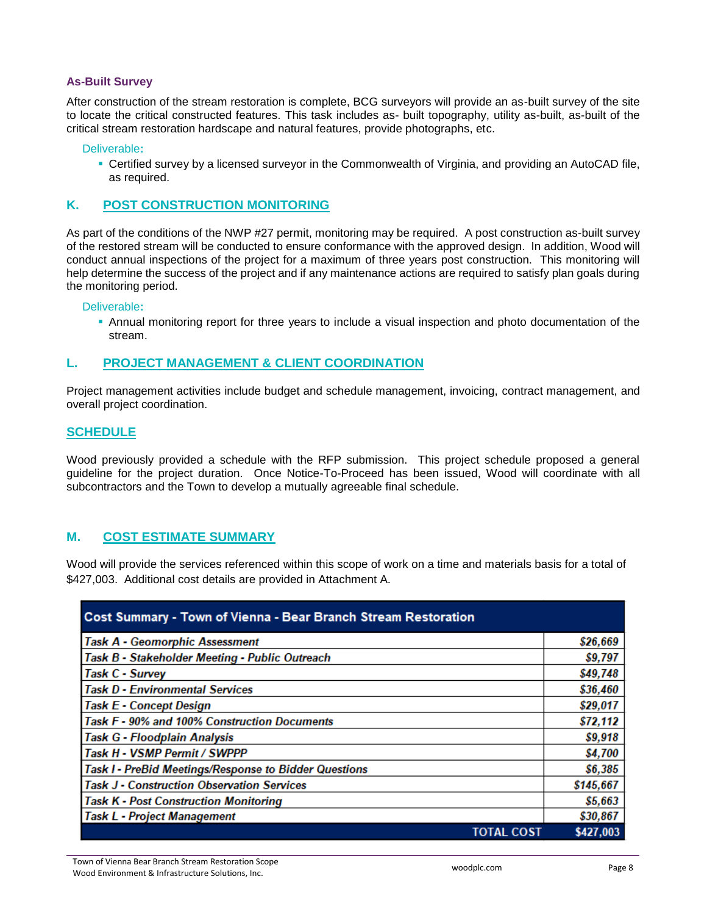## **As-Built Survey**

After construction of the stream restoration is complete, BCG surveyors will provide an as-built survey of the site to locate the critical constructed features. This task includes as- built topography, utility as-built, as-built of the critical stream restoration hardscape and natural features, provide photographs, etc.

Deliverable**:** 

▪ Certified survey by a licensed surveyor in the Commonwealth of Virginia, and providing an AutoCAD file, as required.

## **K. POST CONSTRUCTION MONITORING**

As part of the conditions of the NWP #27 permit, monitoring may be required. A post construction as-built survey of the restored stream will be conducted to ensure conformance with the approved design. In addition, Wood will conduct annual inspections of the project for a maximum of three years post construction. This monitoring will help determine the success of the project and if any maintenance actions are required to satisfy plan goals during the monitoring period.

## Deliverable**:**

▪ Annual monitoring report for three years to include a visual inspection and photo documentation of the stream.

## **L. PROJECT MANAGEMENT & CLIENT COORDINATION**

Project management activities include budget and schedule management, invoicing, contract management, and overall project coordination.

## **SCHEDULE**

Wood previously provided a schedule with the RFP submission. This project schedule proposed a general guideline for the project duration. Once Notice-To-Proceed has been issued, Wood will coordinate with all subcontractors and the Town to develop a mutually agreeable final schedule.

## **M. COST ESTIMATE SUMMARY**

Wood will provide the services referenced within this scope of work on a time and materials basis for a total of \$427,003. Additional cost details are provided in Attachment A.

| <b>Cost Summary - Town of Vienna - Bear Branch Stream Restoration</b> |           |
|-----------------------------------------------------------------------|-----------|
| Task A - Geomorphic Assessment                                        | \$26,669  |
| Task B - Stakeholder Meeting - Public Outreach                        | \$9,797   |
| Task C - Survey                                                       | \$49,748  |
| <b>Task D - Environmental Services</b>                                | \$36,460  |
| Task E - Concept Design                                               | \$29,017  |
| Task F - 90% and 100% Construction Documents                          | \$72,112  |
| Task G - Floodplain Analysis                                          | \$9,918   |
| Task H - VSMP Permit / SWPPP                                          | \$4,700   |
| Task I - PreBid Meetings/Response to Bidder Questions                 | \$6,385   |
| Task J - Construction Observation Services                            | \$145,667 |
| <b>Task K - Post Construction Monitoring</b>                          | \$5,663   |
| Task L - Project Management                                           | \$30,867  |
| <b>TOTAL COST</b>                                                     | \$427,003 |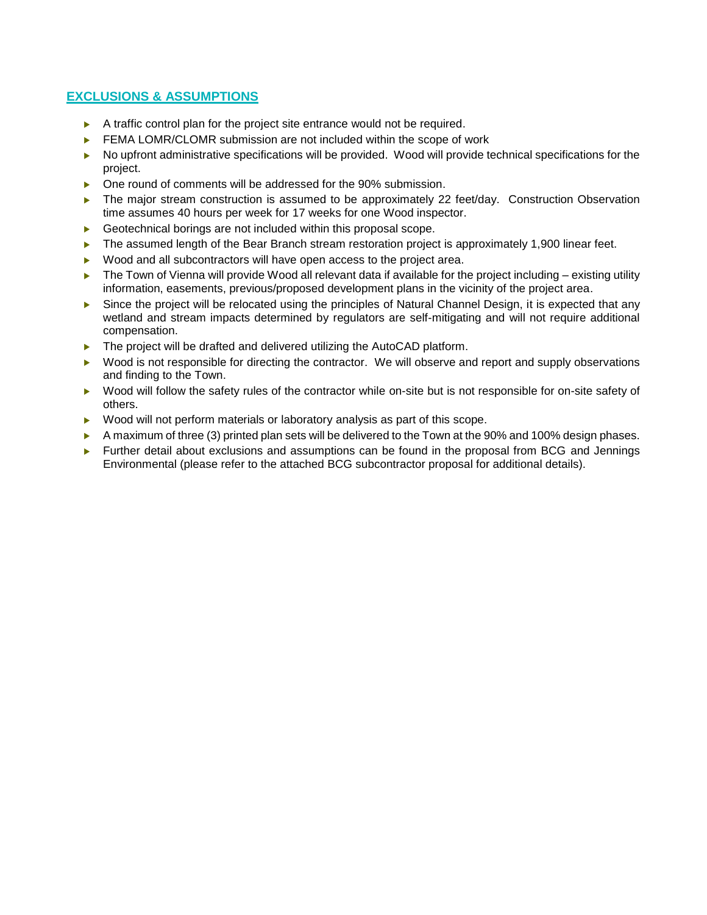## **EXCLUSIONS & ASSUMPTIONS**

- $\blacktriangleright$  A traffic control plan for the project site entrance would not be required.
- $\blacktriangleright$  FEMA LOMR/CLOMR submission are not included within the scope of work
- $\triangleright$  No upfront administrative specifications will be provided. Wood will provide technical specifications for the project.
- ▶ One round of comments will be addressed for the 90% submission.
- ▶ The major stream construction is assumed to be approximately 22 feet/day. Construction Observation time assumes 40 hours per week for 17 weeks for one Wood inspector.
- Geotechnical borings are not included within this proposal scope.
- The assumed length of the Bear Branch stream restoration project is approximately 1,900 linear feet.
- Wood and all subcontractors will have open access to the project area.
- $\blacktriangleright$  The Town of Vienna will provide Wood all relevant data if available for the project including existing utility information, easements, previous/proposed development plans in the vicinity of the project area.
- Since the project will be relocated using the principles of Natural Channel Design, it is expected that any wetland and stream impacts determined by regulators are self-mitigating and will not require additional compensation.
- ▶ The project will be drafted and delivered utilizing the AutoCAD platform.
- ▶ Wood is not responsible for directing the contractor. We will observe and report and supply observations and finding to the Town.
- ▶ Wood will follow the safety rules of the contractor while on-site but is not responsible for on-site safety of others.
- ▶ Wood will not perform materials or laboratory analysis as part of this scope.
- A maximum of three (3) printed plan sets will be delivered to the Town at the 90% and 100% design phases.
- **Further detail about exclusions and assumptions can be found in the proposal from BCG and Jennings** Environmental (please refer to the attached BCG subcontractor proposal for additional details).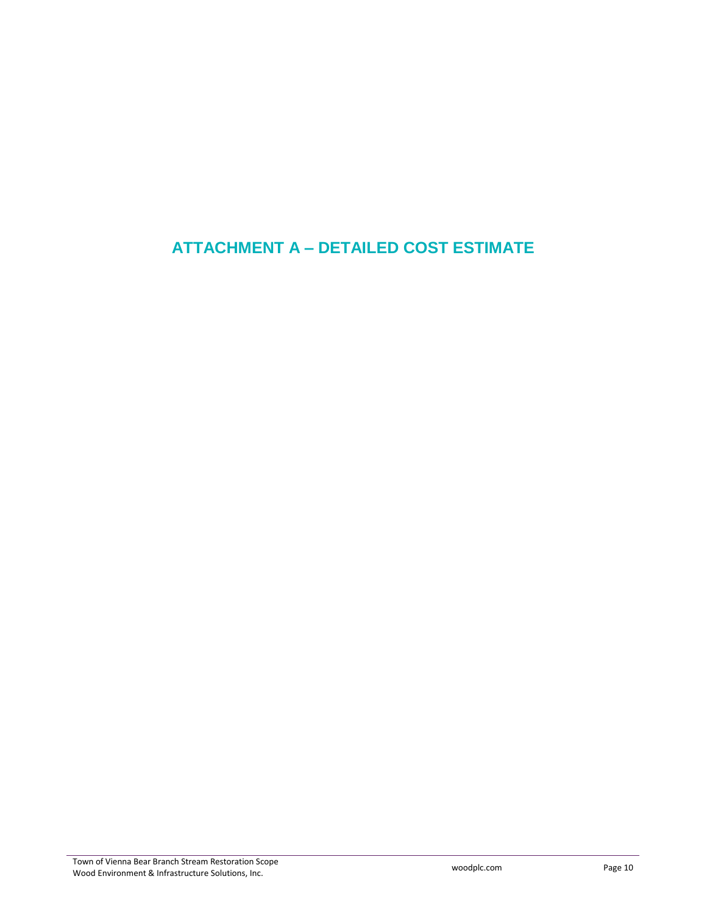## **ATTACHMENT A – DETAILED COST ESTIMATE**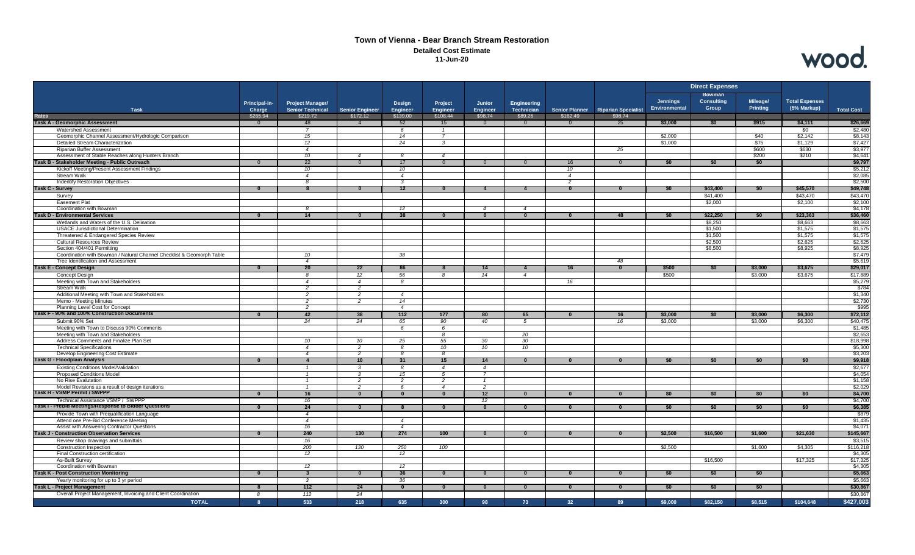#### **Town of Vienna - Bear Branch Stream Restoration Detailed Cost Estimate 11-Jun-20**



|                                                                                         |                           |                                     |                                    |                         |                        |                                           |                         |                                   |                                       | <b>Direct Expenses</b>           |                                             |                      |                                      |                     |
|-----------------------------------------------------------------------------------------|---------------------------|-------------------------------------|------------------------------------|-------------------------|------------------------|-------------------------------------------|-------------------------|-----------------------------------|---------------------------------------|----------------------------------|---------------------------------------------|----------------------|--------------------------------------|---------------------|
|                                                                                         | Principal-in-             | <b>Project Manager/</b>             |                                    | Design                  | Project                | Junior                                    | Engineering             |                                   |                                       | <b>Jennings</b><br>Environmental | <b>Bowman</b><br><b>Consulting</b><br>Group | Mileage/<br>Printing | <b>Total Expenses</b><br>(5% Markup) |                     |
| <b>Task</b><br>Rates                                                                    | <b>Charge</b><br>\$265.94 | <b>Senior Technical</b><br>\$219.72 | <b>Senior Engineer</b><br>\$172.12 | Engineer<br>\$139.00    | Engineer<br>\$108.44   | <b>Engineer</b><br>\$98.74                | Technician<br>\$89.26   | <b>Senior Planner</b><br>\$162.49 | <b>Riparian Specialist</b><br>\$98.74 |                                  |                                             |                      |                                      | <b>Total Cost</b>   |
| Task A - Geomorphic Assessment                                                          | $\Omega$                  | 48                                  | $\overline{4}$                     | 52                      | 15                     | $\Omega$                                  | $\Omega$                | $\Omega$                          | 25                                    | \$3,000                          | <b>SO</b>                                   | \$915                | \$4,111                              | \$26,669            |
| <b>Watershed Assessment</b>                                                             |                           |                                     |                                    | 6                       |                        |                                           |                         |                                   |                                       |                                  |                                             |                      | \$0                                  | \$2,480             |
| Geomorphic Channel Assessment/Hydrologic Comparison                                     |                           | 15                                  |                                    | 14                      |                        |                                           |                         |                                   |                                       | \$2,000                          |                                             | \$40                 | \$2,142                              | \$8,143             |
| Detailed Stream Characterization                                                        |                           | 12                                  |                                    | 24                      | $\mathbf{3}$           |                                           |                         |                                   |                                       | \$1,000                          |                                             | \$75                 | \$1,129                              | \$7,427             |
| <b>Riparian Buffer Assessment</b>                                                       |                           | $\overline{4}$                      |                                    |                         |                        |                                           |                         |                                   | 25                                    |                                  |                                             | \$600                | \$630                                | \$3,977             |
| Assessment of Stable Reaches along Hunters Branch                                       |                           | 10                                  | $\overline{4}$                     | 8                       | $\overline{4}$         |                                           |                         |                                   |                                       |                                  |                                             | \$200                | \$210                                | \$4,641             |
| Task B - Stakeholder Meeting - Public Outreach                                          | $\Omega$                  | 22                                  | $\Omega$                           | 17                      | $\overline{0}$         | $\Omega$                                  | $\Omega$                | 16                                | $\Omega$                              | \$0                              | \$0                                         | \$0                  |                                      | \$9,797             |
| Kickoff Meeting/Present Assessment Findings                                             |                           | 10                                  |                                    | 10                      |                        |                                           |                         | 10                                |                                       |                                  |                                             |                      |                                      | \$5,212             |
| Stream Walk                                                                             |                           | $\overline{4}$                      |                                    | $\overline{4}$          |                        |                                           |                         | $\overline{4}$                    |                                       |                                  |                                             |                      |                                      | \$2,085             |
| Indentify Restoration Objectives                                                        |                           | - 8                                 |                                    | $\mathbf{3}$            |                        |                                           |                         | 2                                 |                                       |                                  |                                             |                      |                                      | \$2,500             |
| <b>Task C - Survey</b>                                                                  | $\overline{0}$            | $\overline{\mathbf{8}}$             | $\Omega$                           | 12                      | $\Omega$               | $\overline{4}$                            | $\overline{4}$          | $\bf{0}$                          | $\mathbf{0}$                          | \$0                              | \$43,400                                    | \$0                  | \$45,570                             | \$49,748            |
| Survey                                                                                  |                           |                                     |                                    |                         |                        |                                           |                         |                                   |                                       |                                  | \$41,400                                    |                      | \$43,470                             | \$43,470            |
| <b>Easement Plat</b>                                                                    |                           |                                     |                                    |                         |                        |                                           |                         |                                   |                                       |                                  | \$2,000                                     |                      | \$2,100                              | \$2,100             |
| Coordination with Bowman<br>Task D - Environmental Services                             | $\overline{0}$            | 8<br>14                             | $\overline{\mathbf{0}}$            | 12<br>38                | $\mathbf{0}$           | $\overline{4}$<br>$\overline{\mathbf{0}}$ | $\overline{4}$          | $\bf{0}$                          | 48                                    | \$0                              | \$22,250                                    | \$0                  | \$23,363                             | \$4,178<br>\$36,460 |
|                                                                                         |                           |                                     |                                    |                         |                        |                                           | $\overline{\mathbf{0}}$ |                                   |                                       |                                  |                                             |                      |                                      |                     |
| Wetlands and Waters of the U.S. Delination<br><b>USACE Jurisdictional Determination</b> |                           |                                     |                                    |                         |                        |                                           |                         |                                   |                                       |                                  | \$8,250<br>\$1,500                          |                      | \$8,663<br>\$1,575                   | \$8,663<br>\$1,575  |
| Threatened & Endangered Species Review                                                  |                           |                                     |                                    |                         |                        |                                           |                         |                                   |                                       |                                  | \$1,500                                     |                      | \$1,575                              | \$1,575             |
| <b>Cultural Resources Review</b>                                                        |                           |                                     |                                    |                         |                        |                                           |                         |                                   |                                       |                                  | \$2,500                                     |                      | \$2.625                              | \$2,625             |
| Section 404/401 Permitting                                                              |                           |                                     |                                    |                         |                        |                                           |                         |                                   |                                       |                                  | \$8,500                                     |                      | \$8,925                              | \$8,925             |
| Coordination with Bowman / Natural Channel Checklist & Geomorph Table                   |                           | 10                                  |                                    | 38                      |                        |                                           |                         |                                   |                                       |                                  |                                             |                      |                                      | \$7,479             |
| Tree Identification and Assessment                                                      |                           | $\overline{4}$                      |                                    |                         |                        |                                           |                         |                                   | 48                                    |                                  |                                             |                      |                                      | \$5,619             |
| <b>Task E - Concept Design</b>                                                          | $\overline{\mathbf{0}}$   | 20                                  | 22                                 | 86                      |                        | 14                                        | $\overline{4}$          | 16                                | $\overline{0}$                        | \$500                            | \$0                                         | \$3,000              | \$3,675                              | \$29,017            |
| <b>Concept Design</b>                                                                   |                           | 8                                   | 12                                 | 56                      | 8                      | 14                                        | $\overline{4}$          |                                   |                                       | \$500                            |                                             | \$3,000              | \$3,675                              | \$17,889            |
| Meeting with Town and Stakeholders                                                      |                           | $\overline{4}$                      | $\overline{4}$                     | 8                       |                        |                                           |                         | 16                                |                                       |                                  |                                             |                      |                                      | \$5,279             |
| <b>Stream Walk</b>                                                                      |                           | 2                                   | 2                                  |                         |                        |                                           |                         |                                   |                                       |                                  |                                             |                      |                                      | \$784               |
| Additional Meeting with Town and Stakeholders                                           |                           | $\overline{c}$                      | 2                                  | $\overline{4}$          |                        |                                           |                         |                                   |                                       |                                  |                                             |                      |                                      | \$1,340             |
| Memo - Meeting Minutes                                                                  |                           | $\overline{2}$                      | $\overline{2}$                     | 14                      |                        |                                           |                         |                                   |                                       |                                  |                                             |                      |                                      | \$2,730             |
| Planning Level Cost for Concept                                                         |                           | $\overline{c}$                      |                                    | $\overline{4}$          |                        |                                           |                         |                                   |                                       |                                  |                                             |                      |                                      | \$995               |
| lask F - 90% and 100% Construction Documents                                            | $\Omega$                  | 42                                  | 38                                 | 112                     | 177                    | 80                                        | 65                      | $\Omega$                          | 16                                    | \$3,000                          | \$0                                         | \$3,000              | \$6,300                              | \$72,112            |
| Submit 90% Set                                                                          |                           | 24                                  | 24                                 | 65                      | 90                     | 40                                        | $\overline{5}$          |                                   | 16                                    | \$3,000                          |                                             | \$3,000              | \$6,300                              | \$40,475            |
| Meeting with Town to Discuss 90% Comments                                               |                           |                                     |                                    | 6                       | 6                      |                                           |                         |                                   |                                       |                                  |                                             |                      |                                      | \$1,485             |
| Meeting with Town and Stakeholders                                                      |                           |                                     |                                    |                         | 8                      |                                           | 20                      |                                   |                                       |                                  |                                             |                      |                                      | \$2,653             |
| Address Comments and Finalize Plan Set                                                  |                           | 10                                  | 10                                 | 25                      | 55                     | 30                                        | 30                      |                                   |                                       |                                  |                                             |                      |                                      | \$18,998            |
| <b>Technical Specifications</b>                                                         |                           | $\overline{4}$                      | $\overline{2}$                     | 8                       | 10                     | 10                                        | 10                      |                                   |                                       |                                  |                                             |                      |                                      | \$5,300             |
| Develop Engineering Cost Estimate<br>l ask G - Floodplain Analysis                      | $\Omega$                  | $\overline{4}$<br>$\overline{4}$    | -2<br>10                           | -8<br>31                | $\boldsymbol{8}$<br>15 | 14                                        | $\mathbf{0}$            | $\Omega$                          | $\overline{0}$                        | \$0                              | \$0                                         | \$0                  | \$0                                  | \$3,203<br>\$9,918  |
|                                                                                         |                           |                                     |                                    |                         | $\overline{4}$         |                                           |                         |                                   |                                       |                                  |                                             |                      |                                      | \$2,677             |
| Existing Conditions Model/Validation<br><b>Proposed Conditions Model</b>                |                           | $\overline{1}$<br>$\overline{1}$    | 3<br>$\mathbf{3}$                  | 8<br>15                 | 5                      | $\overline{4}$<br>$\overline{7}$          |                         |                                   |                                       |                                  |                                             |                      |                                      | \$4,054             |
| No Rise Evalutation                                                                     |                           | $\overline{1}$                      | 2                                  | 2                       | $\overline{c}$         | $\overline{1}$                            |                         |                                   |                                       |                                  |                                             |                      |                                      | \$1,158             |
| Model Revisions as a result of design iterations                                        |                           |                                     | $\overline{2}$                     | 6                       | $\overline{4}$         | $\overline{2}$                            |                         |                                   |                                       |                                  |                                             |                      |                                      | \$2,029             |
| <b>I ask H - VSMP Permit / SWPPF</b>                                                    | $\Omega$                  | 16                                  | $\Omega$                           | $\mathbf{0}$            | $\Omega$               | 12                                        | $\Omega$                | $\Omega$                          | $\overline{0}$                        | \$0                              | \$0                                         | \$0                  | \$0                                  | \$4,700             |
| Technical Assistance VSMP / SWPPP                                                       |                           | 16                                  |                                    |                         |                        | 12                                        |                         |                                   |                                       |                                  |                                             |                      |                                      | \$4,700             |
| lask I - PreBid Meetings/Response to Bidder Questions                                   | $\overline{\mathbf{0}}$   | 24                                  | $\overline{\mathbf{0}}$            | $\mathbf{R}$            | $\overline{0}$         | $\overline{\mathbf{0}}$                   | $\overline{\mathbf{0}}$ | $\mathbf{0}$                      | $\overline{\mathbf{0}}$               | \$0                              | \$0                                         | \$0                  | \$0                                  | \$6,385             |
| Provide Town with Prequalification Language                                             |                           | $\overline{4}$                      |                                    |                         |                        |                                           |                         |                                   |                                       |                                  |                                             |                      |                                      | \$879               |
| Attend one Pre-Bid Conference Meeting                                                   |                           | $\overline{4}$                      |                                    | $\overline{4}$          |                        |                                           |                         |                                   |                                       |                                  |                                             |                      |                                      | \$1,435             |
| Assist with Answering Contractor Questions                                              |                           | 16                                  |                                    | $\overline{4}$          |                        |                                           |                         |                                   |                                       |                                  |                                             |                      |                                      | \$4,071             |
| Task J - Construction Observation Services                                              | $\Omega$                  | 240                                 | 130                                | 274                     | 100                    |                                           | $\Omega$                |                                   | $\Omega$                              | \$2,500                          | \$16,500                                    | \$1,600              | \$21,630                             | \$145,667           |
| Review shop drawings and submittals                                                     |                           | 16                                  |                                    |                         |                        |                                           |                         |                                   |                                       |                                  |                                             |                      |                                      | \$3,515             |
| Construction Inspection                                                                 |                           | 200                                 | 130                                | 250                     | 100                    |                                           |                         |                                   |                                       | \$2,500                          |                                             | \$1,600              | \$4,305                              | \$116,218           |
| Final Construction certification                                                        |                           | 12                                  |                                    | 12                      |                        |                                           |                         |                                   |                                       |                                  |                                             |                      |                                      | \$4,305             |
| As-Built Survey                                                                         |                           |                                     |                                    |                         |                        |                                           |                         |                                   |                                       |                                  | \$16,500                                    |                      | \$17,325                             | \$17,325            |
| Coordination with Bowman                                                                |                           | 12                                  |                                    | 12                      |                        |                                           |                         |                                   |                                       |                                  |                                             |                      |                                      | \$4,305             |
| Task K - Post Construction Monitoring                                                   | $\Omega$                  | -3                                  |                                    | 36                      |                        |                                           |                         |                                   | $\Omega$                              | <b>SO</b>                        | - \$0                                       | SO.                  |                                      | \$5,663             |
| Yearly monitoring for up to 3 yr period                                                 |                           | 3                                   |                                    | 36                      |                        |                                           |                         |                                   |                                       |                                  |                                             |                      |                                      | \$5,663             |
| <b>Task L - Project Management</b>                                                      | 8                         | 112                                 | 24                                 | $\overline{\mathbf{0}}$ | $\bf{0}$               | $\bullet$                                 | $\bf{0}$                | $\bf{0}$                          | $\bf{0}$                              | \$0                              | \$0                                         | \$0                  |                                      | \$30,867            |
| Overall Project Management, Invoicing and Client Coordination                           | 8                         | 112                                 | 24                                 |                         |                        |                                           |                         |                                   |                                       |                                  |                                             |                      |                                      | \$30,867            |
| <b>TOTAL</b>                                                                            | $\mathbf{R}$              | 533                                 | 218                                | 635                     | 300                    | 98                                        | 73                      | 32 <sup>°</sup>                   | 89                                    | \$9.000                          | \$82.150                                    | \$8.515              | \$104.648                            | \$427,003           |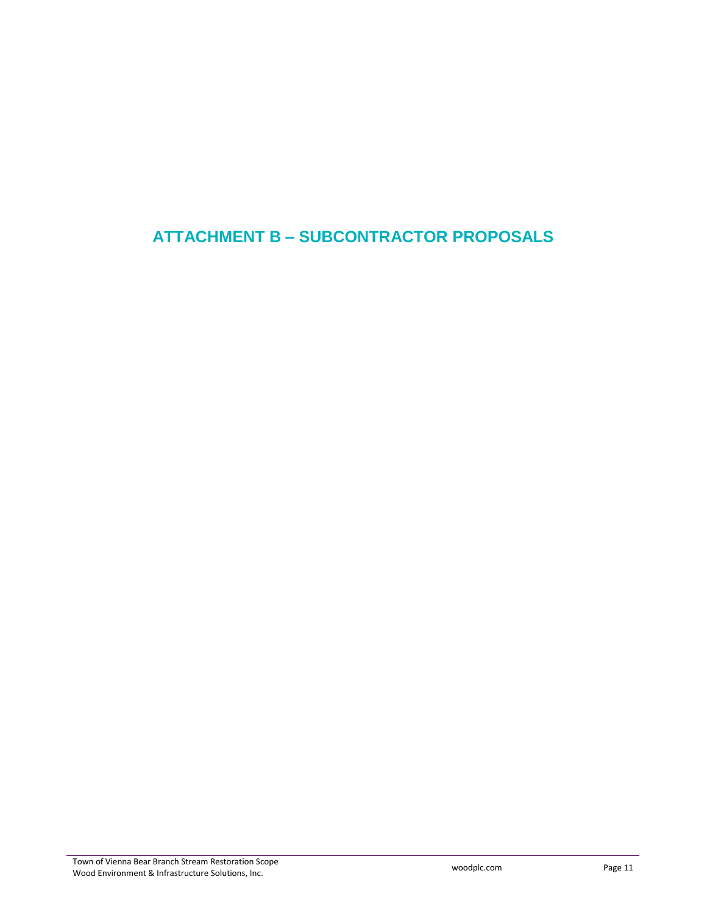## **ATTACHMENT B – SUBCONTRACTOR PROPOSALS**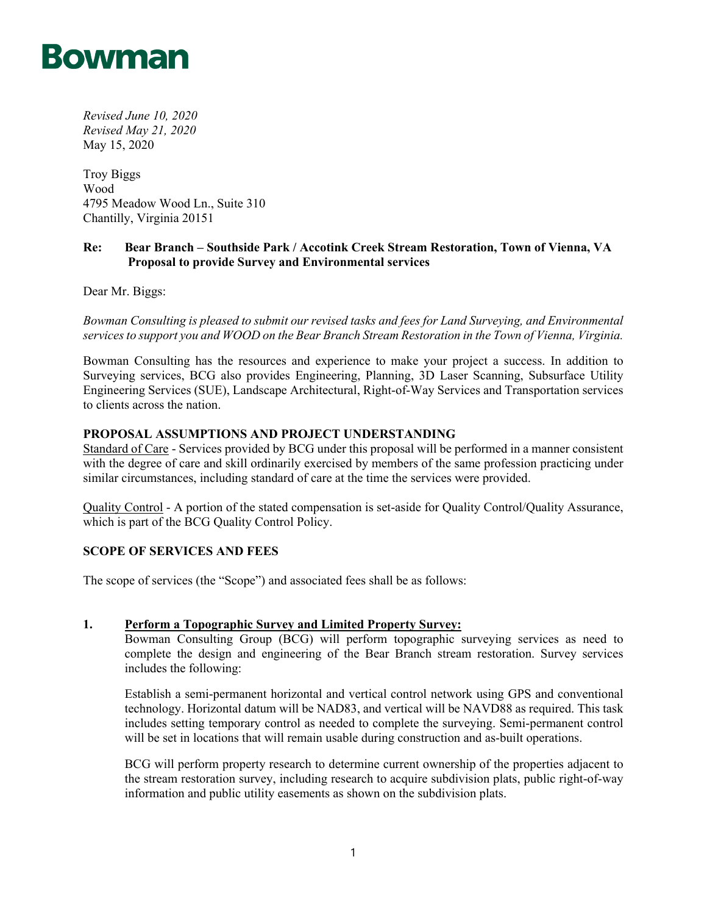

*Revised June 10, 2020 Revised May 21, 2020* May 15, 2020

Troy Biggs Wood 4795 Meadow Wood Ln., Suite 310 Chantilly, Virginia 20151

## **Re: Bear Branch – Southside Park / Accotink Creek Stream Restoration, Town of Vienna, VA Proposal to provide Survey and Environmental services**

Dear Mr. Biggs:

*Bowman Consulting is pleased to submit our revised tasks and fees for Land Surveying, and Environmental services to support you and WOOD on the Bear Branch Stream Restoration in the Town of Vienna, Virginia.* 

Bowman Consulting has the resources and experience to make your project a success. In addition to Surveying services, BCG also provides Engineering, Planning, 3D Laser Scanning, Subsurface Utility Engineering Services (SUE), Landscape Architectural, Right-of-Way Services and Transportation services to clients across the nation.

## **PROPOSAL ASSUMPTIONS AND PROJECT UNDERSTANDING**

Standard of Care - Services provided by BCG under this proposal will be performed in a manner consistent with the degree of care and skill ordinarily exercised by members of the same profession practicing under similar circumstances, including standard of care at the time the services were provided.

Quality Control - A portion of the stated compensation is set-aside for Quality Control/Quality Assurance, which is part of the BCG Quality Control Policy.

## **SCOPE OF SERVICES AND FEES**

The scope of services (the "Scope") and associated fees shall be as follows:

## **1. Perform a Topographic Survey and Limited Property Survey:**

Bowman Consulting Group (BCG) will perform topographic surveying services as need to complete the design and engineering of the Bear Branch stream restoration. Survey services includes the following:

Establish a semi-permanent horizontal and vertical control network using GPS and conventional technology. Horizontal datum will be NAD83, and vertical will be NAVD88 as required. This task includes setting temporary control as needed to complete the surveying. Semi-permanent control will be set in locations that will remain usable during construction and as-built operations.

BCG will perform property research to determine current ownership of the properties adjacent to the stream restoration survey, including research to acquire subdivision plats, public right-of-way information and public utility easements as shown on the subdivision plats.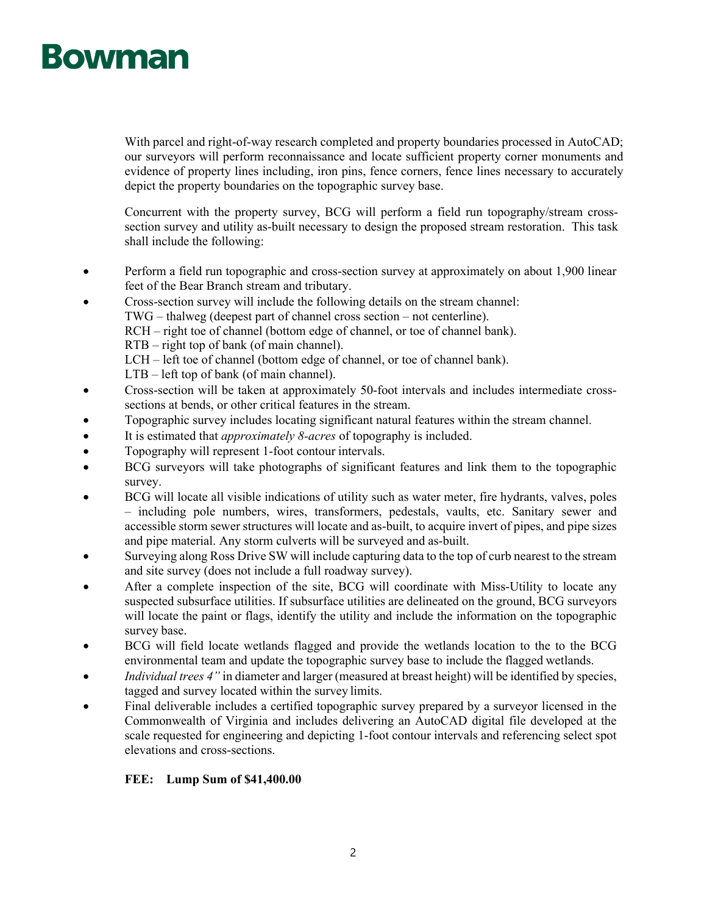With parcel and right-of-way research completed and property boundaries processed in AutoCAD; our surveyors will perform reconnaissance and locate sufficient property corner monuments and evidence of property lines including, iron pins, fence corners, fence lines necessary to accurately depict the property boundaries on the topographic survey base.

Concurrent with the property survey, BCG will perform a field run topography/stream crosssection survey and utility as-built necessary to design the proposed stream restoration. This task shall include the following:

- Perform a field run topographic and cross-section survey at approximately on about 1,900 linear feet of the Bear Branch stream and tributary.
- Cross-section survey will include the following details on the stream channel:
	- TWG thalweg (deepest part of channel cross section not centerline).
		- RCH right toe of channel (bottom edge of channel, or toe of channel bank).
		- RTB right top of bank (of main channel).
		- LCH left toe of channel (bottom edge of channel, or toe of channel bank).
		- LTB left top of bank (of main channel).
- Cross-section will be taken at approximately 50-foot intervals and includes intermediate crosssections at bends, or other critical features in the stream.
- Topographic survey includes locating significant natural features within the stream channel.
- It is estimated that *approximately 8-acres* of topography is included.
- Topography will represent 1-foot contour intervals.
- BCG surveyors will take photographs of significant features and link them to the topographic survey.
- BCG will locate all visible indications of utility such as water meter, fire hydrants, valves, poles – including pole numbers, wires, transformers, pedestals, vaults, etc. Sanitary sewer and accessible storm sewer structures will locate and as-built, to acquire invert of pipes, and pipe sizes and pipe material. Any storm culverts will be surveyed and as-built.
- Surveying along Ross Drive SW will include capturing data to the top of curb nearest to the stream and site survey (does not include a full roadway survey).
- After a complete inspection of the site, BCG will coordinate with Miss-Utility to locate any suspected subsurface utilities. If subsurface utilities are delineated on the ground, BCG surveyors will locate the paint or flags, identify the utility and include the information on the topographic survey base.
- BCG will field locate wetlands flagged and provide the wetlands location to the to the BCG environmental team and update the topographic survey base to include the flagged wetlands.
- *Individual trees 4"* in diameter and larger (measured at breast height) will be identified by species, tagged and survey located within the survey limits.
- Final deliverable includes a certified topographic survey prepared by a surveyor licensed in the Commonwealth of Virginia and includes delivering an AutoCAD digital file developed at the scale requested for engineering and depicting 1-foot contour intervals and referencing select spot elevations and cross-sections.

## **FEE: Lump Sum of \$41,400.00**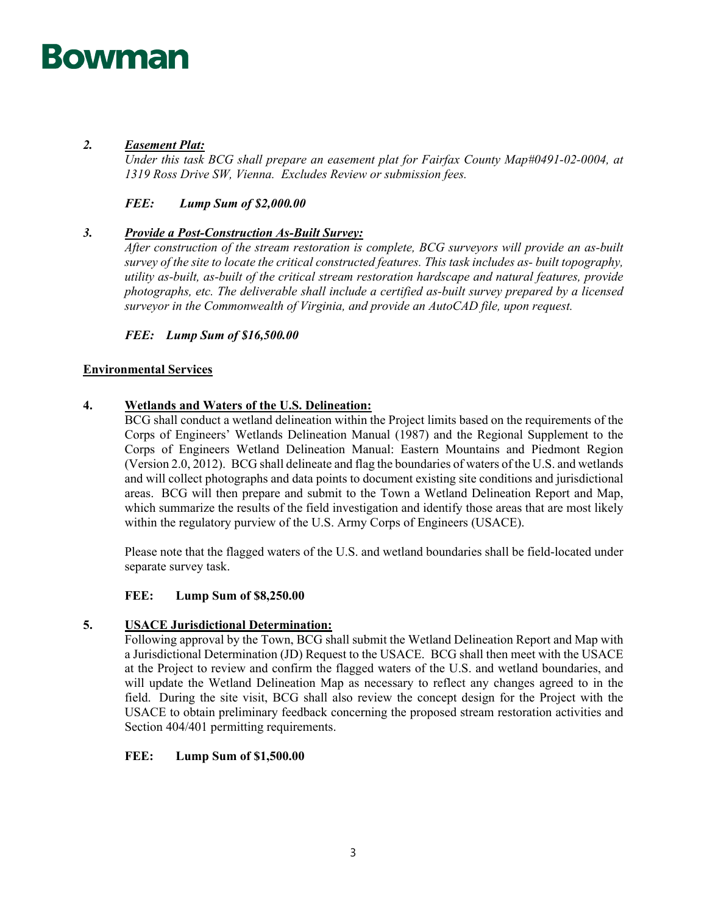## *2. Easement Plat:*

*Under this task BCG shall prepare an easement plat for Fairfax County Map#0491-02-0004, at 1319 Ross Drive SW, Vienna. Excludes Review or submission fees.* 

## *FEE: Lump Sum of \$2,000.00*

## *3. Provide a Post-Construction As-Built Survey:*

*After construction of the stream restoration is complete, BCG surveyors will provide an as-built survey of the site to locate the critical constructed features. This task includes as- built topography, utility as-built, as-built of the critical stream restoration hardscape and natural features, provide photographs, etc. The deliverable shall include a certified as-built survey prepared by a licensed surveyor in the Commonwealth of Virginia, and provide an AutoCAD file, upon request.*

*FEE: Lump Sum of \$16,500.00*

## **Environmental Services**

## **4. Wetlands and Waters of the U.S. Delineation:**

BCG shall conduct a wetland delineation within the Project limits based on the requirements of the Corps of Engineers' Wetlands Delineation Manual (1987) and the Regional Supplement to the Corps of Engineers Wetland Delineation Manual: Eastern Mountains and Piedmont Region (Version 2.0, 2012). BCG shall delineate and flag the boundaries of waters of the U.S. and wetlands and will collect photographs and data points to document existing site conditions and jurisdictional areas. BCG will then prepare and submit to the Town a Wetland Delineation Report and Map, which summarize the results of the field investigation and identify those areas that are most likely within the regulatory purview of the U.S. Army Corps of Engineers (USACE).

Please note that the flagged waters of the U.S. and wetland boundaries shall be field-located under separate survey task.

## **FEE: Lump Sum of \$8,250.00**

## **5. USACE Jurisdictional Determination:**

Following approval by the Town, BCG shall submit the Wetland Delineation Report and Map with a Jurisdictional Determination (JD) Request to the USACE. BCG shall then meet with the USACE at the Project to review and confirm the flagged waters of the U.S. and wetland boundaries, and will update the Wetland Delineation Map as necessary to reflect any changes agreed to in the field. During the site visit, BCG shall also review the concept design for the Project with the USACE to obtain preliminary feedback concerning the proposed stream restoration activities and Section 404/401 permitting requirements.

## **FEE: Lump Sum of \$1,500.00**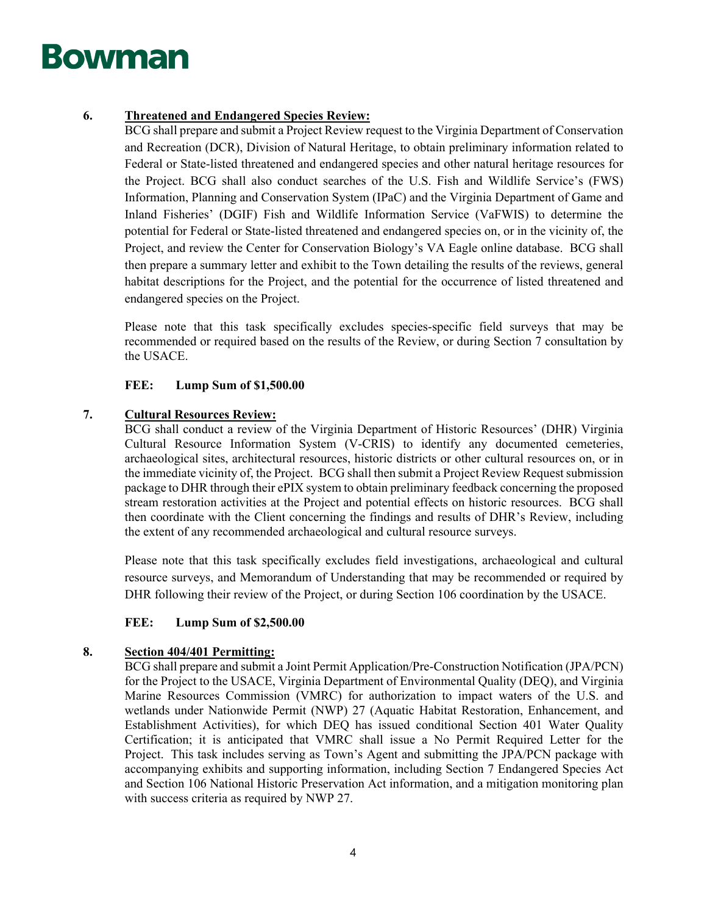## **6. Threatened and Endangered Species Review:**

BCG shall prepare and submit a Project Review request to the Virginia Department of Conservation and Recreation (DCR), Division of Natural Heritage, to obtain preliminary information related to Federal or State-listed threatened and endangered species and other natural heritage resources for the Project. BCG shall also conduct searches of the U.S. Fish and Wildlife Service's (FWS) Information, Planning and Conservation System (IPaC) and the Virginia Department of Game and Inland Fisheries' (DGIF) Fish and Wildlife Information Service (VaFWIS) to determine the potential for Federal or State-listed threatened and endangered species on, or in the vicinity of, the Project, and review the Center for Conservation Biology's VA Eagle online database. BCG shall then prepare a summary letter and exhibit to the Town detailing the results of the reviews, general habitat descriptions for the Project, and the potential for the occurrence of listed threatened and endangered species on the Project.

Please note that this task specifically excludes species-specific field surveys that may be recommended or required based on the results of the Review, or during Section 7 consultation by the USACE.

## **FEE: Lump Sum of \$1,500.00**

## **7. Cultural Resources Review:**

BCG shall conduct a review of the Virginia Department of Historic Resources' (DHR) Virginia Cultural Resource Information System (V-CRIS) to identify any documented cemeteries, archaeological sites, architectural resources, historic districts or other cultural resources on, or in the immediate vicinity of, the Project. BCG shall then submit a Project Review Request submission package to DHR through their ePIX system to obtain preliminary feedback concerning the proposed stream restoration activities at the Project and potential effects on historic resources. BCG shall then coordinate with the Client concerning the findings and results of DHR's Review, including the extent of any recommended archaeological and cultural resource surveys.

Please note that this task specifically excludes field investigations, archaeological and cultural resource surveys, and Memorandum of Understanding that may be recommended or required by DHR following their review of the Project, or during Section 106 coordination by the USACE.

## **FEE: Lump Sum of \$2,500.00**

## **8. Section 404/401 Permitting:**

BCG shall prepare and submit a Joint Permit Application/Pre-Construction Notification (JPA/PCN) for the Project to the USACE, Virginia Department of Environmental Quality (DEQ), and Virginia Marine Resources Commission (VMRC) for authorization to impact waters of the U.S. and wetlands under Nationwide Permit (NWP) 27 (Aquatic Habitat Restoration, Enhancement, and Establishment Activities), for which DEQ has issued conditional Section 401 Water Quality Certification; it is anticipated that VMRC shall issue a No Permit Required Letter for the Project. This task includes serving as Town's Agent and submitting the JPA/PCN package with accompanying exhibits and supporting information, including Section 7 Endangered Species Act and Section 106 National Historic Preservation Act information, and a mitigation monitoring plan with success criteria as required by NWP 27.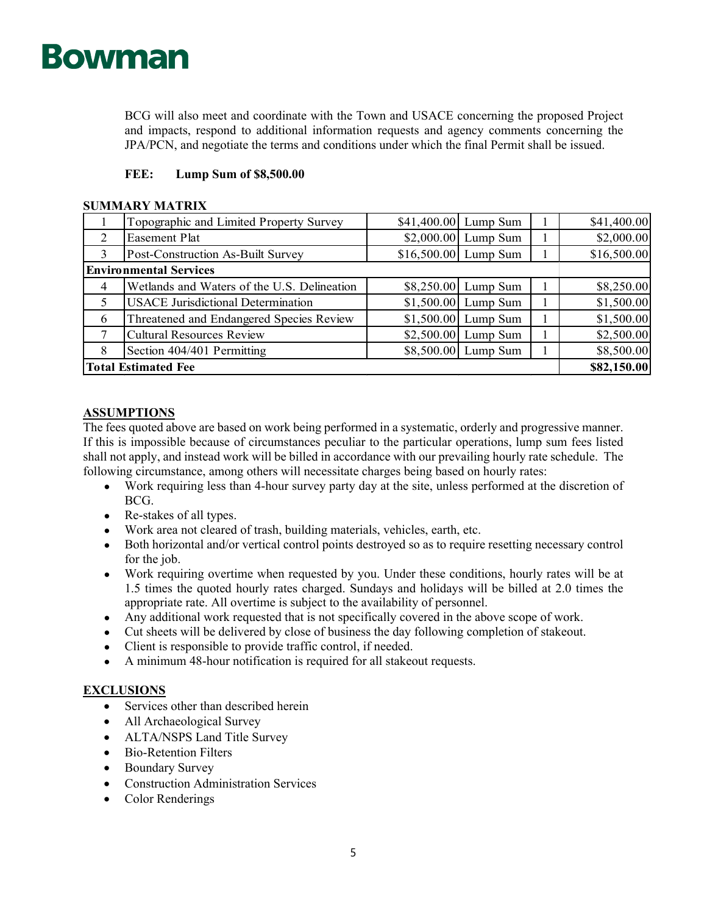BCG will also meet and coordinate with the Town and USACE concerning the proposed Project and impacts, respond to additional information requests and agency comments concerning the JPA/PCN, and negotiate the terms and conditions under which the final Permit shall be issued.

## **FEE: Lump Sum of \$8,500.00**

## **SUMMARY MATRIX**

|                               | Topographic and Limited Property Survey     | \$41,400.00 Lump Sum  |  | \$41,400.00 |
|-------------------------------|---------------------------------------------|-----------------------|--|-------------|
| 2                             | <b>Easement Plat</b>                        | $$2,000.00$ Lump Sum  |  | \$2,000.00  |
| 3                             | Post-Construction As-Built Survey           | $$16,500.00$ Lump Sum |  | \$16,500.00 |
| <b>Environmental Services</b> |                                             |                       |  |             |
| 4                             | Wetlands and Waters of the U.S. Delineation | $$8,250.00$ Lump Sum  |  | \$8,250.00  |
| 5                             | <b>USACE</b> Jurisdictional Determination   | $$1,500.00$ Lump Sum  |  | \$1,500.00  |
| 6                             | Threatened and Endangered Species Review    | $$1,500.00$ Lump Sum  |  | \$1,500.00  |
|                               | <b>Cultural Resources Review</b>            | $$2,500.00$ Lump Sum  |  | \$2,500.00  |
| 8                             | Section 404/401 Permitting                  | \$8,500.00 Lump Sum   |  | \$8,500.00  |
| <b>Total Estimated Fee</b>    | \$82,150.00                                 |                       |  |             |

## **ASSUMPTIONS**

The fees quoted above are based on work being performed in a systematic, orderly and progressive manner. If this is impossible because of circumstances peculiar to the particular operations, lump sum fees listed shall not apply, and instead work will be billed in accordance with our prevailing hourly rate schedule. The following circumstance, among others will necessitate charges being based on hourly rates:

- Work requiring less than 4-hour survey party day at the site, unless performed at the discretion of BCG.
- Re-stakes of all types.
- Work area not cleared of trash, building materials, vehicles, earth, etc.
- Both horizontal and/or vertical control points destroyed so as to require resetting necessary control for the job.
- Work requiring overtime when requested by you. Under these conditions, hourly rates will be at 1.5 times the quoted hourly rates charged. Sundays and holidays will be billed at 2.0 times the appropriate rate. All overtime is subject to the availability of personnel.
- Any additional work requested that is not specifically covered in the above scope of work.
- Cut sheets will be delivered by close of business the day following completion of stakeout.
- Client is responsible to provide traffic control, if needed.
- A minimum 48-hour notification is required for all stakeout requests.

## **EXCLUSIONS**

- Services other than described herein
- All Archaeological Survey
- ALTA/NSPS Land Title Survey
- Bio-Retention Filters
- Boundary Survey
- Construction Administration Services
- Color Renderings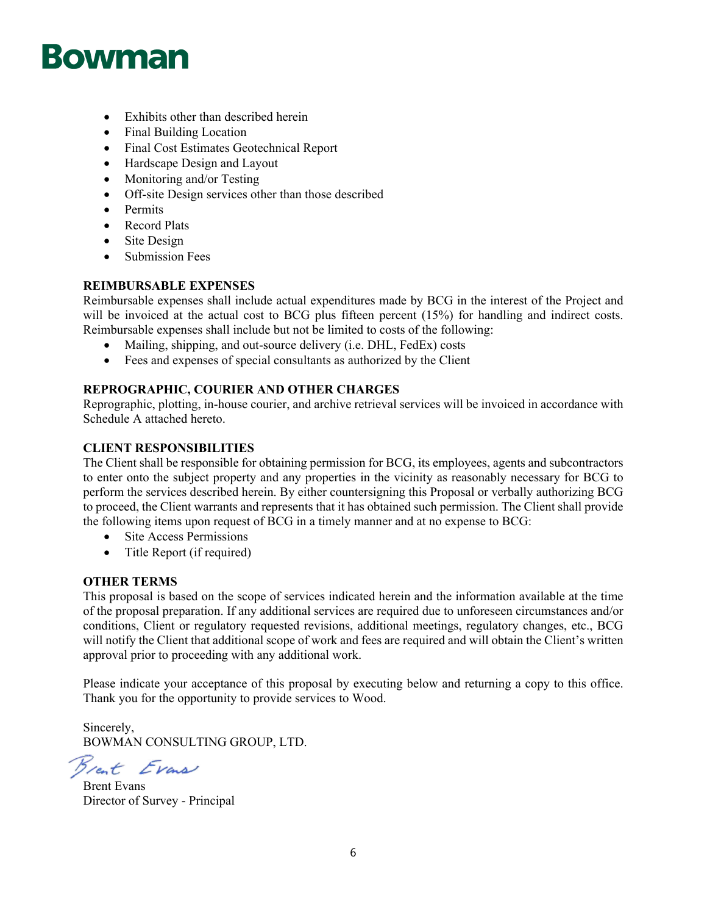- Exhibits other than described herein
- Final Building Location
- Final Cost Estimates Geotechnical Report
- Hardscape Design and Layout
- Monitoring and/or Testing
- Off-site Design services other than those described
- Permits
- Record Plats
- Site Design
- Submission Fees

## **REIMBURSABLE EXPENSES**

Reimbursable expenses shall include actual expenditures made by BCG in the interest of the Project and will be invoiced at the actual cost to BCG plus fifteen percent (15%) for handling and indirect costs. Reimbursable expenses shall include but not be limited to costs of the following:

- Mailing, shipping, and out-source delivery (i.e. DHL, FedEx) costs
- Fees and expenses of special consultants as authorized by the Client

## **REPROGRAPHIC, COURIER AND OTHER CHARGES**

Reprographic, plotting, in-house courier, and archive retrieval services will be invoiced in accordance with Schedule A attached hereto.

## **CLIENT RESPONSIBILITIES**

The Client shall be responsible for obtaining permission for BCG, its employees, agents and subcontractors to enter onto the subject property and any properties in the vicinity as reasonably necessary for BCG to perform the services described herein. By either countersigning this Proposal or verbally authorizing BCG to proceed, the Client warrants and represents that it has obtained such permission. The Client shall provide the following items upon request of BCG in a timely manner and at no expense to BCG:

- Site Access Permissions
- Title Report (if required)

## **OTHER TERMS**

This proposal is based on the scope of services indicated herein and the information available at the time of the proposal preparation. If any additional services are required due to unforeseen circumstances and/or conditions, Client or regulatory requested revisions, additional meetings, regulatory changes, etc., BCG will notify the Client that additional scope of work and fees are required and will obtain the Client's written approval prior to proceeding with any additional work.

Please indicate your acceptance of this proposal by executing below and returning a copy to this office. Thank you for the opportunity to provide services to Wood.

Sincerely, BOWMAN CONSULTING GROUP, LTD.

Breat Evans

Brent Evans Director of Survey - Principal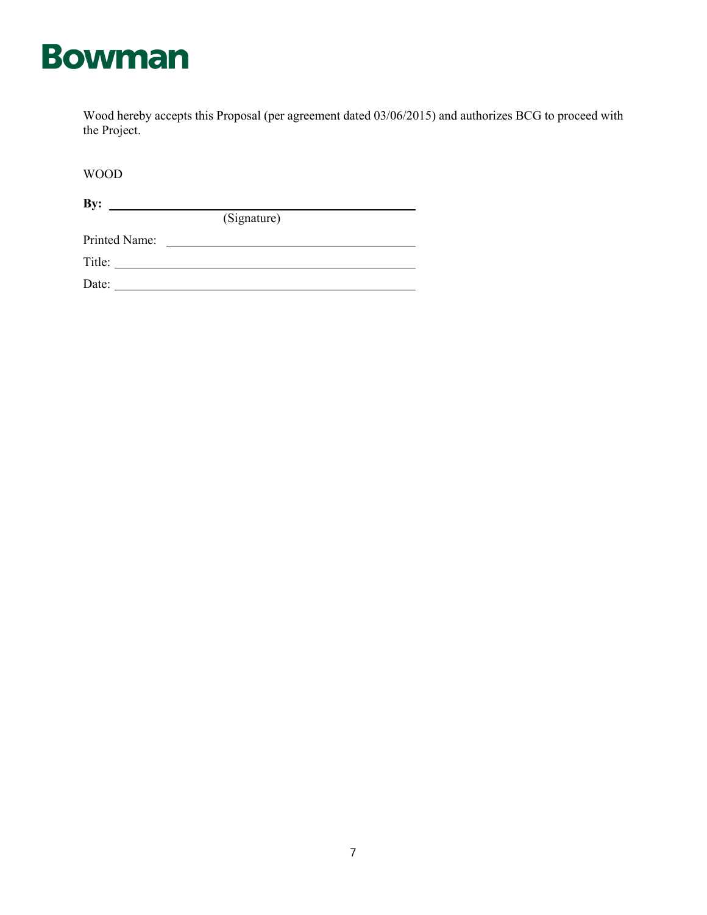

Wood hereby accepts this Proposal (per agreement dated 03/06/2015) and authorizes BCG to proceed with the Project.

(Signature)

WOOD

**By:**

Printed Name:

Title:

Date: